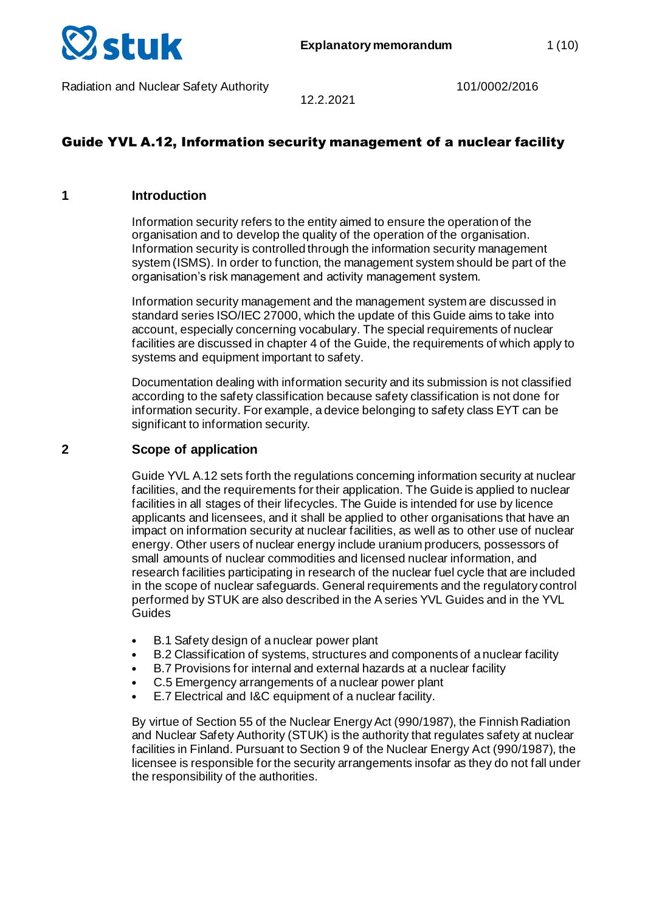

# Guide YVL A.12, Information security management of a nuclear facility

12.2.2021

#### **1 Introduction**

Information security refers to the entity aimed to ensure the operation of the organisation and to develop the quality of the operation of the organisation. Information security is controlled through the information security management system (ISMS). In order to function, the management system should be part of the organisation's risk management and activity management system.

Information security management and the management system are discussed in standard series ISO/IEC 27000, which the update of this Guide aims to take into account, especially concerning vocabulary. The special requirements of nuclear facilities are discussed in chapter 4 of the Guide, the requirements of which apply to systems and equipment important to safety.

Documentation dealing with information security and its submission is not classified according to the safety classification because safety classification is not done for information security. For example, a device belonging to safety class EYT can be significant to information security.

## **2 Scope of application**

Guide YVL A.12 sets forth the regulations concerning information security at nuclear facilities, and the requirements for their application. The Guide is applied to nuclear facilities in all stages of their lifecycles. The Guide is intended for use by licence applicants and licensees, and it shall be applied to other organisations that have an impact on information security at nuclear facilities, as well as to other use of nuclear energy. Other users of nuclear energy include uranium producers, possessors of small amounts of nuclear commodities and licensed nuclear information, and research facilities participating in research of the nuclear fuel cycle that are included in the scope of nuclear safeguards. General requirements and the regulatory control performed by STUK are also described in the A series YVL Guides and in the YVL **Guides** 

- B.1 Safety design of a nuclear power plant
- B.2 Classification of systems, structures and components of a nuclear facility
- B.7 Provisions for internal and external hazards at a nuclear facility
- C.5 Emergency arrangements of a nuclear power plant
- E.7 Electrical and I&C equipment of a nuclear facility.

By virtue of Section 55 of the Nuclear Energy Act (990/1987), the Finnish Radiation and Nuclear Safety Authority (STUK) is the authority that regulates safety at nuclear facilities in Finland. Pursuant to Section 9 of the Nuclear Energy Act (990/1987), the licensee is responsible for the security arrangements insofar as they do not fall under the responsibility of the authorities.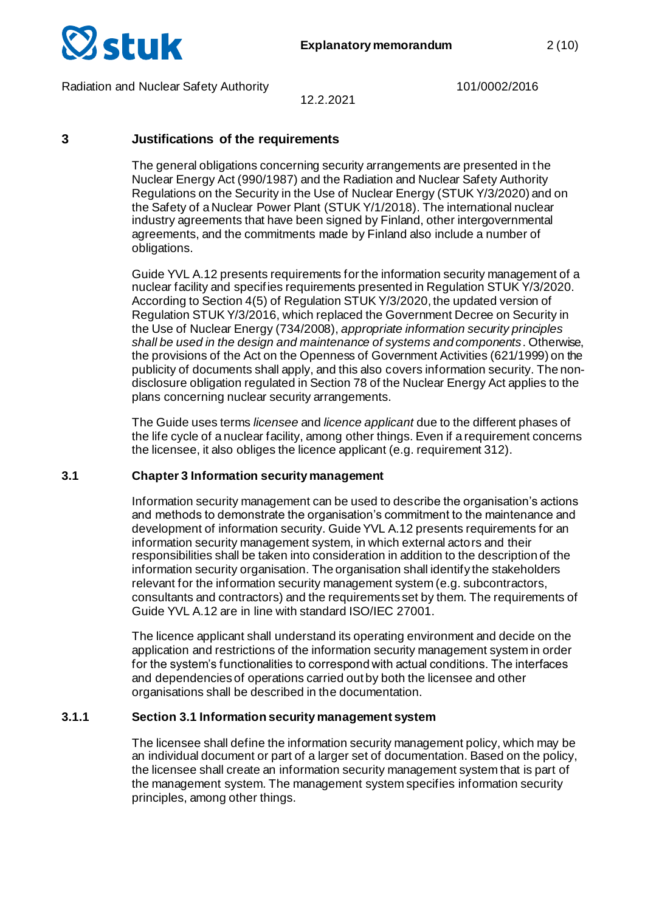

12.2.2021

## **3 Justifications of the requirements**

The general obligations concerning security arrangements are presented in the Nuclear Energy Act (990/1987) and the Radiation and Nuclear Safety Authority Regulations on the Security in the Use of Nuclear Energy (STUK Y/3/2020) and on the Safety of a Nuclear Power Plant (STUK Y/1/2018). The international nuclear industry agreements that have been signed by Finland, other intergovernmental agreements, and the commitments made by Finland also include a number of obligations.

Guide YVL A.12 presents requirements for the information security management of a nuclear facility and specifies requirements presented in Regulation STUK Y/3/2020. According to Section 4(5) of Regulation STUK Y/3/2020, the updated version of Regulation STUK Y/3/2016, which replaced the Government Decree on Security in the Use of Nuclear Energy (734/2008), *appropriate information security principles shall be used in the design and maintenance of systems and components*. Otherwise, the provisions of the Act on the Openness of Government Activities (621/1999) on the publicity of documents shall apply, and this also covers information security. The nondisclosure obligation regulated in Section 78 of the Nuclear Energy Act applies to the plans concerning nuclear security arrangements.

The Guide uses terms *licensee* and *licence applicant* due to the different phases of the life cycle of a nuclear facility, among other things. Even if a requirement concerns the licensee, it also obliges the licence applicant (e.g. requirement 312).

#### **3.1 Chapter 3 Information security management**

Information security management can be used to describe the organisation's actions and methods to demonstrate the organisation's commitment to the maintenance and development of information security. Guide YVL A.12 presents requirements for an information security management system, in which external actors and their responsibilities shall be taken into consideration in addition to the description of the information security organisation. The organisation shall identify the stakeholders relevant for the information security management system (e.g. subcontractors, consultants and contractors) and the requirements set by them. The requirements of Guide YVL A.12 are in line with standard ISO/IEC 27001.

The licence applicant shall understand its operating environment and decide on the application and restrictions of the information security management system in order for the system's functionalities to correspond with actual conditions. The interfaces and dependencies of operations carried out by both the licensee and other organisations shall be described in the documentation.

#### **3.1.1 Section 3.1 Information security management system**

The licensee shall define the information security management policy, which may be an individual document or part of a larger set of documentation. Based on the policy, the licensee shall create an information security management system that is part of the management system. The management system specifies information security principles, among other things.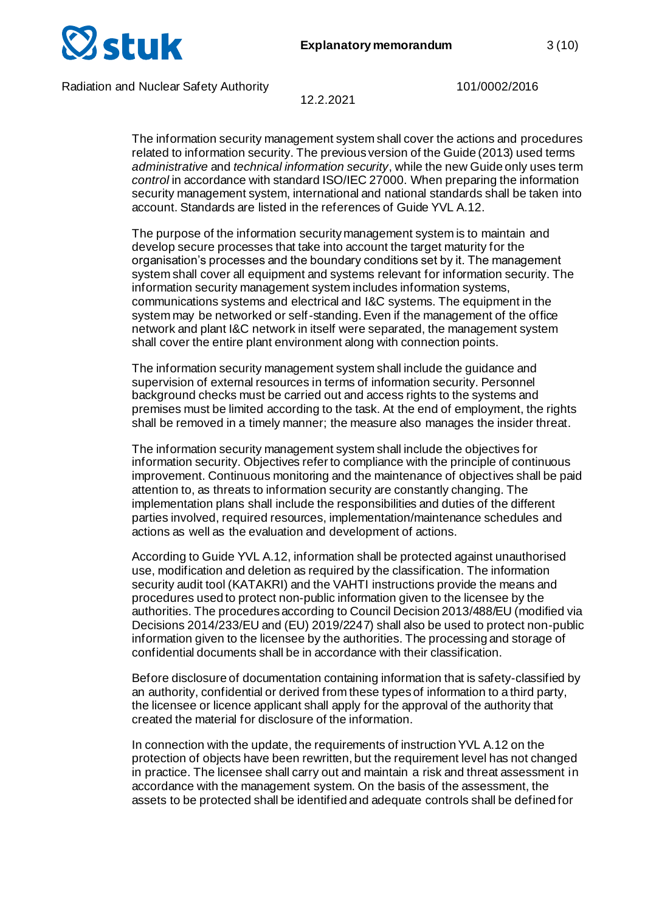

12.2.2021

The information security management system shall cover the actions and procedures related to information security. The previous version of the Guide (2013) used terms *administrative* and *technical information security*, while the new Guide only uses term *control* in accordance with standard ISO/IEC 27000. When preparing the information security management system, international and national standards shall be taken into account. Standards are listed in the references of Guide YVL A.12.

The purpose of the information security management system is to maintain and develop secure processes that take into account the target maturity for the organisation's processes and the boundary conditions set by it. The management system shall cover all equipment and systems relevant for information security. The information security management system includes information systems, communications systems and electrical and I&C systems. The equipment in the system may be networked or self-standing. Even if the management of the office network and plant I&C network in itself were separated, the management system shall cover the entire plant environment along with connection points.

The information security management system shall include the guidance and supervision of external resources in terms of information security. Personnel background checks must be carried out and access rights to the systems and premises must be limited according to the task. At the end of employment, the rights shall be removed in a timely manner; the measure also manages the insider threat.

The information security management system shall include the objectives for information security. Objectives refer to compliance with the principle of continuous improvement. Continuous monitoring and the maintenance of objectives shall be paid attention to, as threats to information security are constantly changing. The implementation plans shall include the responsibilities and duties of the different parties involved, required resources, implementation/maintenance schedules and actions as well as the evaluation and development of actions.

According to Guide YVL A.12, information shall be protected against unauthorised use, modification and deletion as required by the classification. The information security audit tool (KATAKRI) and the VAHTI instructions provide the means and procedures used to protect non-public information given to the licensee by the authorities. The procedures according to Council Decision 2013/488/EU (modified via Decisions 2014/233/EU and (EU) 2019/2247) shall also be used to protect non-public information given to the licensee by the authorities. The processing and storage of confidential documents shall be in accordance with their classification.

Before disclosure of documentation containing information that is safety-classified by an authority, confidential or derived from these types of information to a third party, the licensee or licence applicant shall apply for the approval of the authority that created the material for disclosure of the information.

In connection with the update, the requirements of instruction YVL A.12 on the protection of objects have been rewritten, but the requirement level has not changed in practice. The licensee shall carry out and maintain a risk and threat assessment in accordance with the management system. On the basis of the assessment, the assets to be protected shall be identified and adequate controls shall be defined for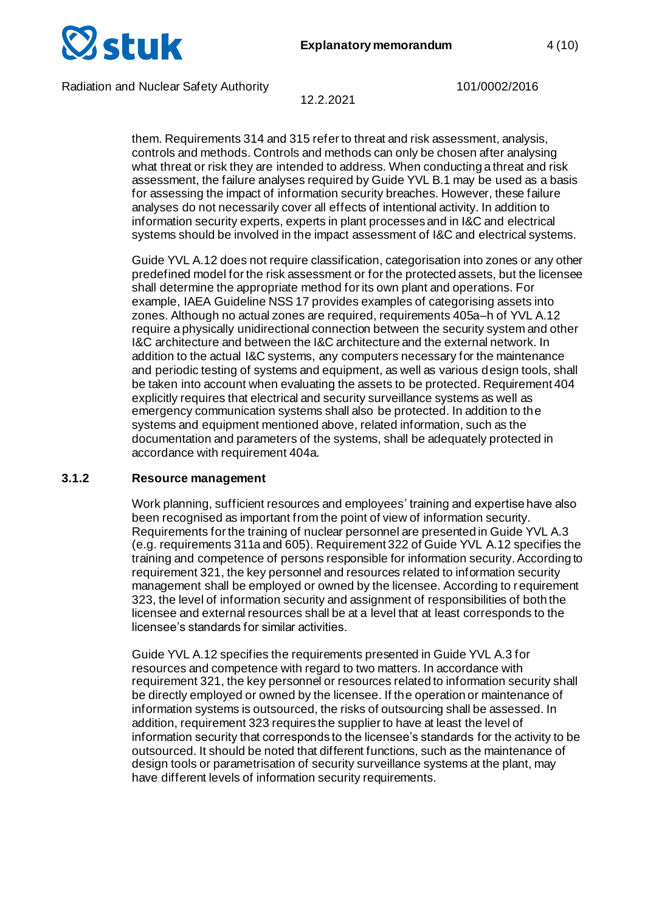

12.2.2021

them. Requirements 314 and 315 refer to threat and risk assessment, analysis, controls and methods. Controls and methods can only be chosen after analysing what threat or risk they are intended to address. When conducting a threat and risk assessment, the failure analyses required by Guide YVL B.1 may be used as a basis for assessing the impact of information security breaches. However, these failure analyses do not necessarily cover all effects of intentional activity. In addition to information security experts, experts in plant processes and in I&C and electrical systems should be involved in the impact assessment of I&C and electrical systems.

Guide YVL A.12 does not require classification, categorisation into zones or any other predefined model for the risk assessment or for the protected assets, but the licensee shall determine the appropriate method for its own plant and operations. For example, IAEA Guideline NSS 17 provides examples of categorising assets into zones. Although no actual zones are required, requirements 405a–h of YVL A.12 require a physically unidirectional connection between the security system and other I&C architecture and between the I&C architecture and the external network. In addition to the actual I&C systems, any computers necessary for the maintenance and periodic testing of systems and equipment, as well as various design tools, shall be taken into account when evaluating the assets to be protected. Requirement 404 explicitly requires that electrical and security surveillance systems as well as emergency communication systems shall also be protected. In addition to the systems and equipment mentioned above, related information, such as the documentation and parameters of the systems, shall be adequately protected in accordance with requirement 404a.

#### **3.1.2 Resource management**

Work planning, sufficient resources and employees' training and expertise have also been recognised as important from the point of view of information security. Requirements for the training of nuclear personnel are presented in Guide YVL A.3 (e.g. requirements 311a and 605). Requirement 322 of Guide YVL A.12 specifies the training and competence of persons responsible for information security. According to requirement 321, the key personnel and resources related to information security management shall be employed or owned by the licensee. According to requirement 323, the level of information security and assignment of responsibilities of both the licensee and external resources shall be at a level that at least corresponds to the licensee's standards for similar activities.

Guide YVL A.12 specifies the requirements presented in Guide YVL A.3 for resources and competence with regard to two matters. In accordance with requirement 321, the key personnel or resources related to information security shall be directly employed or owned by the licensee. If the operation or maintenance of information systems is outsourced, the risks of outsourcing shall be assessed. In addition, requirement 323 requires the supplier to have at least the level of information security that corresponds to the licensee's standards for the activity to be outsourced. It should be noted that different functions, such as the maintenance of design tools or parametrisation of security surveillance systems at the plant, may have different levels of information security requirements.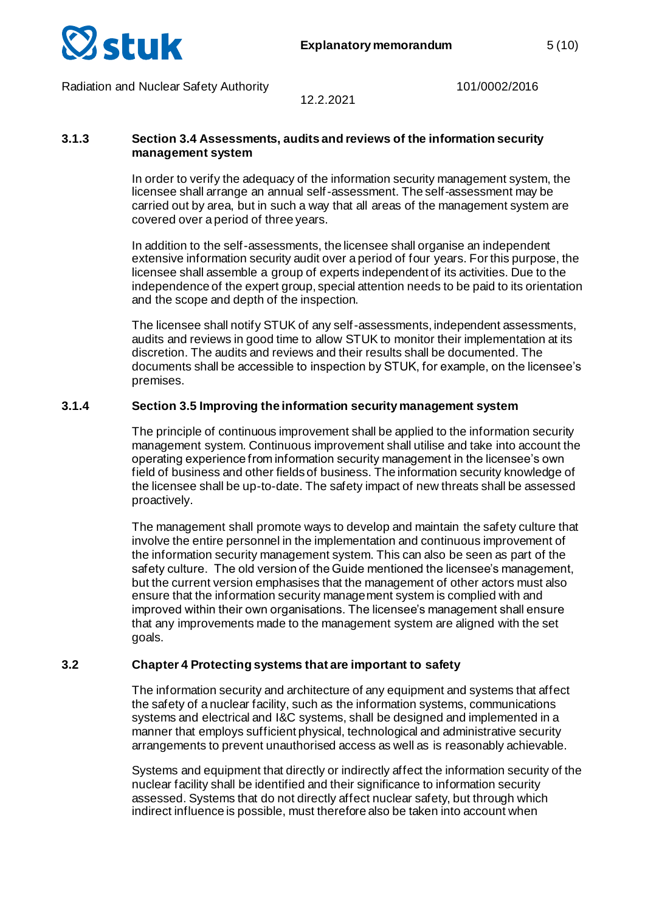

12.2.2021

#### **3.1.3 Section 3.4 Assessments, audits and reviews of the information security management system**

In order to verify the adequacy of the information security management system, the licensee shall arrange an annual self-assessment. The self-assessment may be carried out by area, but in such a way that all areas of the management system are covered over a period of three years.

In addition to the self-assessments, the licensee shall organise an independent extensive information security audit over a period of four years. For this purpose, the licensee shall assemble a group of experts independent of its activities. Due to the independence of the expert group, special attention needs to be paid to its orientation and the scope and depth of the inspection.

The licensee shall notify STUK of any self-assessments, independent assessments, audits and reviews in good time to allow STUK to monitor their implementation at its discretion. The audits and reviews and their results shall be documented. The documents shall be accessible to inspection by STUK, for example, on the licensee's premises.

## **3.1.4 Section 3.5 Improving the information security management system**

The principle of continuous improvement shall be applied to the information security management system. Continuous improvement shall utilise and take into account the operating experience from information security management in the licensee's own field of business and other fields of business. The information security knowledge of the licensee shall be up-to-date. The safety impact of new threats shall be assessed proactively.

The management shall promote ways to develop and maintain the safety culture that involve the entire personnel in the implementation and continuous improvement of the information security management system. This can also be seen as part of the safety culture. The old version of the Guide mentioned the licensee's management, but the current version emphasises that the management of other actors must also ensure that the information security management system is complied with and improved within their own organisations. The licensee's management shall ensure that any improvements made to the management system are aligned with the set goals.

#### **3.2 Chapter 4 Protecting systems that are important to safety**

The information security and architecture of any equipment and systems that affect the safety of a nuclear facility, such as the information systems, communications systems and electrical and I&C systems, shall be designed and implemented in a manner that employs sufficient physical, technological and administrative security arrangements to prevent unauthorised access as well as is reasonably achievable.

Systems and equipment that directly or indirectly affect the information security of the nuclear facility shall be identified and their significance to information security assessed. Systems that do not directly affect nuclear safety, but through which indirect influence is possible, must therefore also be taken into account when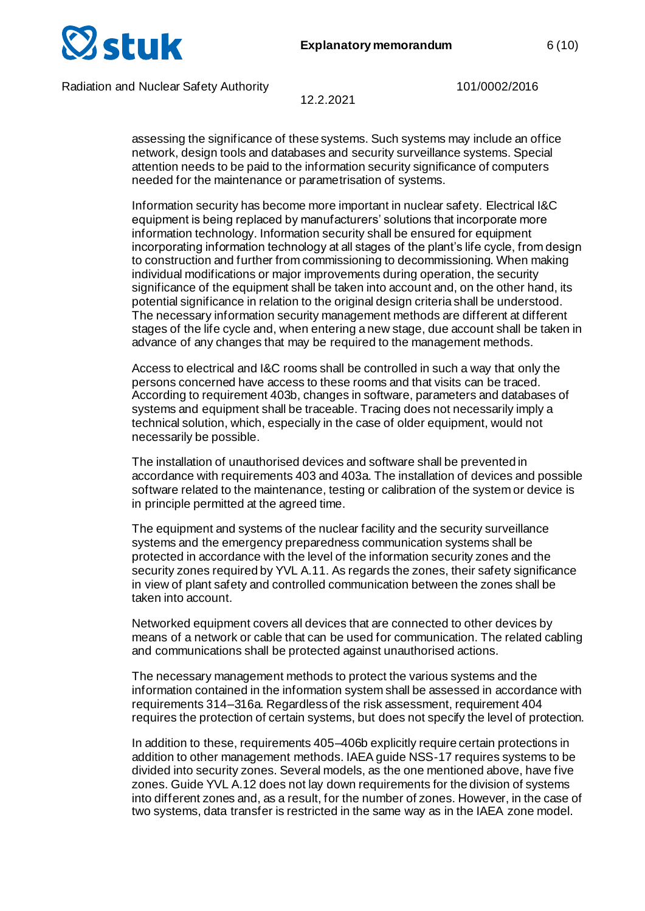

12.2.2021

assessing the significance of these systems. Such systems may include an office network, design tools and databases and security surveillance systems. Special attention needs to be paid to the information security significance of computers needed for the maintenance or parametrisation of systems.

Information security has become more important in nuclear safety. Electrical I&C equipment is being replaced by manufacturers' solutions that incorporate more information technology. Information security shall be ensured for equipment incorporating information technology at all stages of the plant's life cycle, from design to construction and further from commissioning to decommissioning. When making individual modifications or major improvements during operation, the security significance of the equipment shall be taken into account and, on the other hand, its potential significance in relation to the original design criteria shall be understood. The necessary information security management methods are different at different stages of the life cycle and, when entering a new stage, due account shall be taken in advance of any changes that may be required to the management methods.

Access to electrical and I&C rooms shall be controlled in such a way that only the persons concerned have access to these rooms and that visits can be traced. According to requirement 403b, changes in software, parameters and databases of systems and equipment shall be traceable. Tracing does not necessarily imply a technical solution, which, especially in the case of older equipment, would not necessarily be possible.

The installation of unauthorised devices and software shall be prevented in accordance with requirements 403 and 403a. The installation of devices and possible software related to the maintenance, testing or calibration of the system or device is in principle permitted at the agreed time.

The equipment and systems of the nuclear facility and the security surveillance systems and the emergency preparedness communication systems shall be protected in accordance with the level of the information security zones and the security zones required by YVL A.11. As regards the zones, their safety significance in view of plant safety and controlled communication between the zones shall be taken into account.

Networked equipment covers all devices that are connected to other devices by means of a network or cable that can be used for communication. The related cabling and communications shall be protected against unauthorised actions.

The necessary management methods to protect the various systems and the information contained in the information system shall be assessed in accordance with requirements 314–316a. Regardless of the risk assessment, requirement 404 requires the protection of certain systems, but does not specify the level of protection.

In addition to these, requirements 405–406b explicitly require certain protections in addition to other management methods. IAEA guide NSS-17 requires systems to be divided into security zones. Several models, as the one mentioned above, have five zones. Guide YVL A.12 does not lay down requirements for the division of systems into different zones and, as a result, for the number of zones. However, in the case of two systems, data transfer is restricted in the same way as in the IAEA zone model.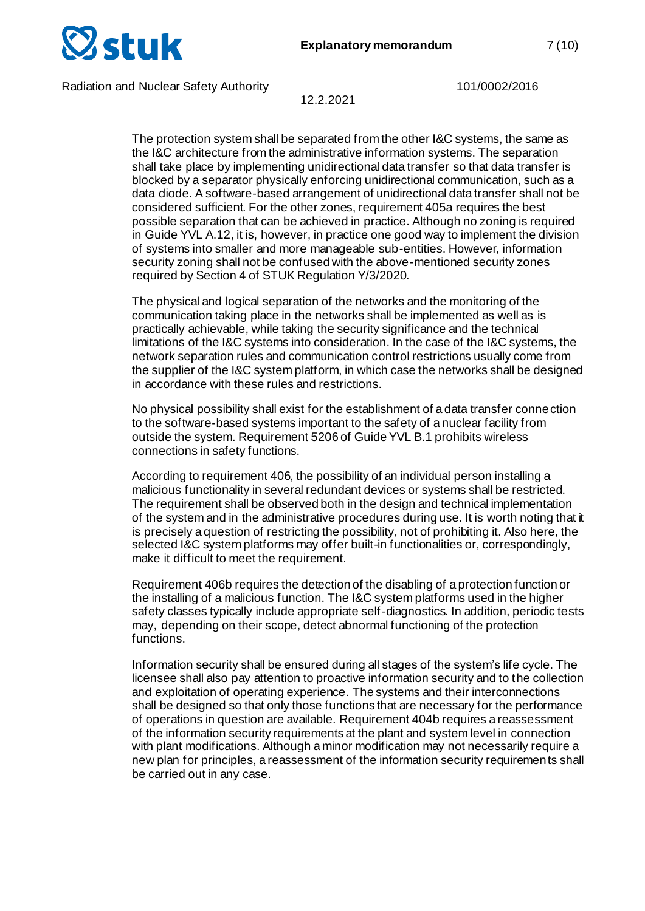

12.2.2021

The protection system shall be separated from the other I&C systems, the same as the I&C architecture from the administrative information systems. The separation shall take place by implementing unidirectional data transfer so that data transfer is blocked by a separator physically enforcing unidirectional communication, such as a data diode. A software-based arrangement of unidirectional data transfer shall not be considered sufficient. For the other zones, requirement 405a requires the best possible separation that can be achieved in practice. Although no zoning is required in Guide YVL A.12, it is, however, in practice one good way to implement the division of systems into smaller and more manageable sub-entities. However, information security zoning shall not be confused with the above-mentioned security zones required by Section 4 of STUK Regulation Y/3/2020.

The physical and logical separation of the networks and the monitoring of the communication taking place in the networks shall be implemented as well as is practically achievable, while taking the security significance and the technical limitations of the I&C systems into consideration. In the case of the I&C systems, the network separation rules and communication control restrictions usually come from the supplier of the I&C system platform, in which case the networks shall be designed in accordance with these rules and restrictions.

No physical possibility shall exist for the establishment of a data transfer connection to the software-based systems important to the safety of a nuclear facility from outside the system. Requirement 5206 of Guide YVL B.1 prohibits wireless connections in safety functions.

According to requirement 406, the possibility of an individual person installing a malicious functionality in several redundant devices or systems shall be restricted. The requirement shall be observed both in the design and technical implementation of the system and in the administrative procedures during use. It is worth noting that it is precisely a question of restricting the possibility, not of prohibiting it. Also here, the selected I&C system platforms may offer built-in functionalities or, correspondingly, make it difficult to meet the requirement.

Requirement 406b requires the detection of the disabling of a protection function or the installing of a malicious function. The I&C system platforms used in the higher safety classes typically include appropriate self-diagnostics. In addition, periodic tests may, depending on their scope, detect abnormal functioning of the protection functions.

Information security shall be ensured during all stages of the system's life cycle. The licensee shall also pay attention to proactive information security and to the collection and exploitation of operating experience. The systems and their interconnections shall be designed so that only those functions that are necessary for the performance of operations in question are available. Requirement 404b requires a reassessment of the information security requirements at the plant and system level in connection with plant modifications. Although a minor modification may not necessarily require a new plan for principles, a reassessment of the information security requirements shall be carried out in any case.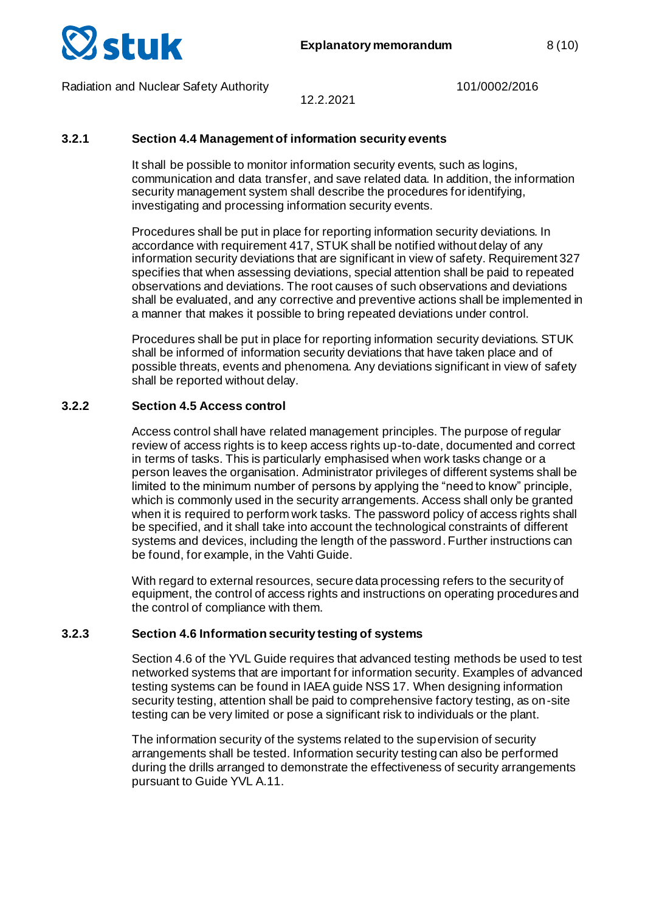

#### 12.2.2021

## **3.2.1 Section 4.4 Management of information security events**

It shall be possible to monitor information security events, such as logins, communication and data transfer, and save related data. In addition, the information security management system shall describe the procedures for identifying, investigating and processing information security events.

Procedures shall be put in place for reporting information security deviations. In accordance with requirement 417, STUK shall be notified without delay of any information security deviations that are significant in view of safety. Requirement 327 specifies that when assessing deviations, special attention shall be paid to repeated observations and deviations. The root causes of such observations and deviations shall be evaluated, and any corrective and preventive actions shall be implemented in a manner that makes it possible to bring repeated deviations under control.

Procedures shall be put in place for reporting information security deviations. STUK shall be informed of information security deviations that have taken place and of possible threats, events and phenomena. Any deviations significant in view of safety shall be reported without delay.

## **3.2.2 Section 4.5 Access control**

Access control shall have related management principles. The purpose of regular review of access rights is to keep access rights up-to-date, documented and correct in terms of tasks. This is particularly emphasised when work tasks change or a person leaves the organisation. Administrator privileges of different systems shall be limited to the minimum number of persons by applying the "need to know" principle, which is commonly used in the security arrangements. Access shall only be granted when it is required to perform work tasks. The password policy of access rights shall be specified, and it shall take into account the technological constraints of different systems and devices, including the length of the password. Further instructions can be found, for example, in the Vahti Guide.

With regard to external resources, secure data processing refers to the security of equipment, the control of access rights and instructions on operating procedures and the control of compliance with them.

#### **3.2.3 Section 4.6 Information security testing of systems**

Section 4.6 of the YVL Guide requires that advanced testing methods be used to test networked systems that are important for information security. Examples of advanced testing systems can be found in IAEA guide NSS 17. When designing information security testing, attention shall be paid to comprehensive factory testing, as on-site testing can be very limited or pose a significant risk to individuals or the plant.

The information security of the systems related to the supervision of security arrangements shall be tested. Information security testing can also be performed during the drills arranged to demonstrate the effectiveness of security arrangements pursuant to Guide YVL A.11.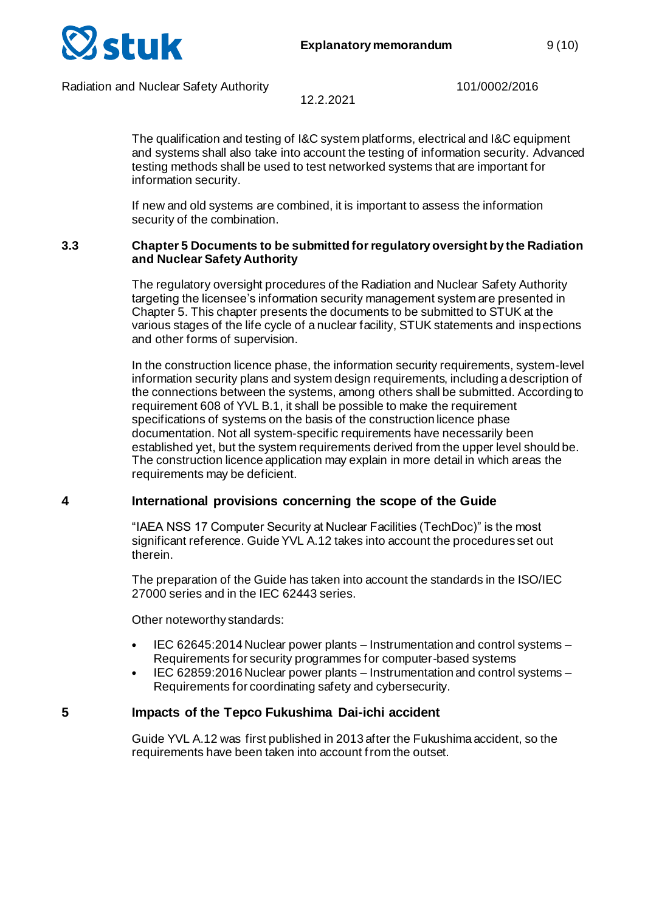

12.2.2021

The qualification and testing of I&C system platforms, electrical and I&C equipment and systems shall also take into account the testing of information security. Advanced testing methods shall be used to test networked systems that are important for information security.

If new and old systems are combined, it is important to assess the information security of the combination.

#### **3.3 Chapter 5 Documents to be submitted for regulatory oversight by the Radiation and Nuclear Safety Authority**

The regulatory oversight procedures of the Radiation and Nuclear Safety Authority targeting the licensee's information security management system are presented in Chapter 5. This chapter presents the documents to be submitted to STUK at the various stages of the life cycle of a nuclear facility, STUK statements and inspections and other forms of supervision.

In the construction licence phase, the information security requirements, system-level information security plans and system design requirements, including a description of the connections between the systems, among others shall be submitted. According to requirement 608 of YVL B.1, it shall be possible to make the requirement specifications of systems on the basis of the construction licence phase documentation. Not all system-specific requirements have necessarily been established yet, but the system requirements derived from the upper level should be. The construction licence application may explain in more detail in which areas the requirements may be deficient.

## **4 International provisions concerning the scope of the Guide**

"IAEA NSS 17 Computer Security at Nuclear Facilities (TechDoc)" is the most significant reference. Guide YVL A.12 takes into account the procedures set out therein.

The preparation of the Guide has taken into account the standards in the ISO/IEC 27000 series and in the IEC 62443 series.

Other noteworthy standards:

- IEC 62645:2014 Nuclear power plants Instrumentation and control systems Requirements for security programmes for computer-based systems
- IEC 62859:2016 Nuclear power plants Instrumentation and control systems Requirements for coordinating safety and cybersecurity.

## **5 Impacts of the Tepco Fukushima Dai-ichi accident**

Guide YVL A.12 was first published in 2013 after the Fukushima accident, so the requirements have been taken into account from the outset.